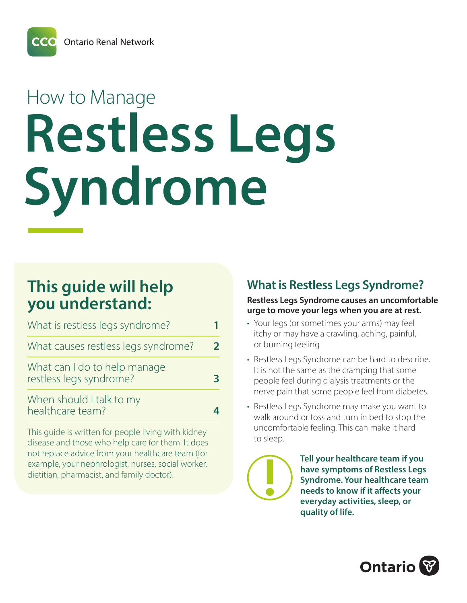**Ontario Renal Network** 

# How to Manage **Restless Legs Syndrome**

## **This guide will help you understand:**

| What is restless legs syndrome?                         |  |
|---------------------------------------------------------|--|
| What causes restless legs syndrome?                     |  |
| What can I do to help manage<br>restless legs syndrome? |  |
| When should I talk to my<br>healthcare team?            |  |

This guide is written for people living with kidney disease and those who help care for them. It does not replace advice from your healthcare team (for example, your nephrologist, nurses, social worker, dietitian, pharmacist, and family doctor).

## **What is Restless Legs Syndrome?**

#### **Restless Legs Syndrome causes an uncomfortable urge to move your legs when you are at rest.**

- Your legs (or sometimes your arms) may feel itchy or may have a crawling, aching, painful, or burning feeling
- Restless Legs Syndrome can be hard to describe. It is not the same as the cramping that some people feel during dialysis treatments or the nerve pain that some people feel from diabetes.
- Restless Legs Syndrome may make you want to walk around or toss and turn in bed to stop the uncomfortable feeling. This can make it hard to sleep.

**Tell your healthcare team if you have symptoms of Restless Legs Syndrome. Your healthcare team needs to know if it affects your everyday activities, sleep, or quality of life.** 

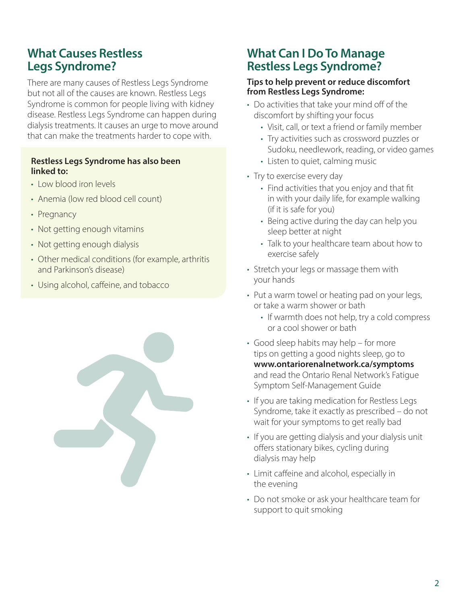## **What Causes Restless Legs Syndrome?**

There are many causes of Restless Legs Syndrome but not all of the causes are known. Restless Legs Syndrome is common for people living with kidney disease. Restless Legs Syndrome can happen during dialysis treatments. It causes an urge to move around that can make the treatments harder to cope with.

#### **Restless Legs Syndrome has also been linked to:**

- Low blood iron levels
- Anemia (low red blood cell count)
- Pregnancy
- Not getting enough vitamins
- Not getting enough dialysis
- Other medical conditions (for example, arthritis and Parkinson's disease)
- Using alcohol, caffeine, and tobacco

## **What Can I Do To Manage Restless Legs Syndrome?**

#### **Tips to help prevent or reduce discomfort from Restless Legs Syndrome:**

- Do activities that take your mind off of the discomfort by shifting your focus
	- Visit, call, or text a friend or family member
	- Try activities such as crossword puzzles or Sudoku, needlework, reading, or video games
	- Listen to quiet, calming music
- Try to exercise every day
	- Find activities that you enjoy and that fit in with your daily life, for example walking (if it is safe for you)
	- Being active during the day can help you sleep better at night
	- Talk to your healthcare team about how to exercise safely
- Stretch your legs or massage them with your hands
- Put a warm towel or heating pad on your legs, or take a warm shower or bath
	- If warmth does not help, try a cold compress or a cool shower or bath
- Good sleep habits may help for more tips on getting a good nights sleep, go to **www.ontariorenalnetwork.ca/symptoms** and read the Ontario Renal Network's Fatigue Symptom Self-Management Guide
- If you are taking medication for Restless Legs Syndrome, take it exactly as prescribed – do not wait for your symptoms to get really bad
- If you are getting dialysis and your dialysis unit offers stationary bikes, cycling during dialysis may help
- Limit caffeine and alcohol, especially in the evening
- Do not smoke or ask your healthcare team for support to quit smoking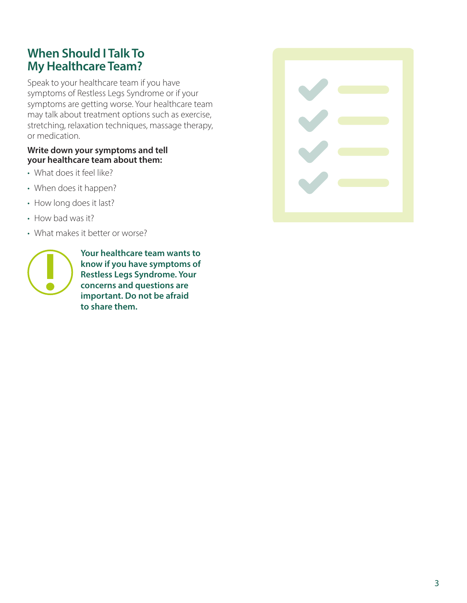## **When Should I Talk To My Healthcare Team?**

Speak to your healthcare team if you have symptoms of Restless Legs Syndrome or if your symptoms are getting worse. Your healthcare team may talk about treatment options such as exercise, stretching, relaxation techniques, massage therapy, or medication.

#### **Write down your symptoms and tell your healthcare team about them:**

- What does it feel like?
- When does it happen?
- How long does it last?
- How bad was it?
- What makes it better or worse?



**Your healthcare team wants to know if you have symptoms of Restless Legs Syndrome. Your concerns and questions are important. Do not be afraid to share them.**